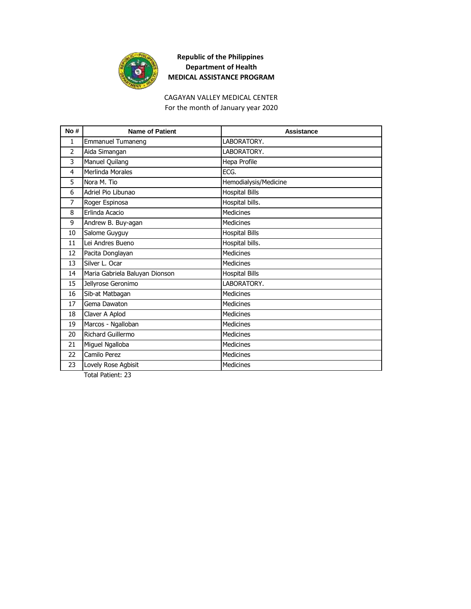

CAGAYAN VALLEY MEDICAL CENTER For the month of January year 2020

| No#            | <b>Name of Patient</b>         | <b>Assistance</b>     |
|----------------|--------------------------------|-----------------------|
| $\mathbf{1}$   | <b>Emmanuel Tumaneng</b>       | LABORATORY.           |
| $\overline{2}$ | Aida Simangan                  | LABORATORY.           |
| 3              | Manuel Quilang                 | Hepa Profile          |
| 4              | Merlinda Morales               | ECG.                  |
| 5              | Nora M. Tio                    | Hemodialysis/Medicine |
| 6              | Adriel Pio Libunao             | <b>Hospital Bills</b> |
| 7              | Roger Espinosa                 | Hospital bills.       |
| 8              | Erlinda Acacio                 | <b>Medicines</b>      |
| 9              | Andrew B. Buy-agan             | <b>Medicines</b>      |
| 10             | Salome Guyguy                  | <b>Hospital Bills</b> |
| 11             | Lei Andres Bueno               | Hospital bills.       |
| 12             | Pacita Donglayan               | <b>Medicines</b>      |
| 13             | Silver L. Ocar                 | <b>Medicines</b>      |
| 14             | Maria Gabriela Baluyan Dionson | <b>Hospital Bills</b> |
| 15             | Jellyrose Geronimo             | LABORATORY.           |
| 16             | Sib-at Matbagan                | <b>Medicines</b>      |
| 17             | Gema Dawaton                   | <b>Medicines</b>      |
| 18             | Claver A Aplod                 | <b>Medicines</b>      |
| 19             | Marcos - Ngalloban             | <b>Medicines</b>      |
| 20             | Richard Guillermo              | Medicines             |
| 21             | Miguel Ngalloba                | <b>Medicines</b>      |
| 22             | Camilo Perez                   | Medicines             |
| 23             | Lovely Rose Agbisit            | <b>Medicines</b>      |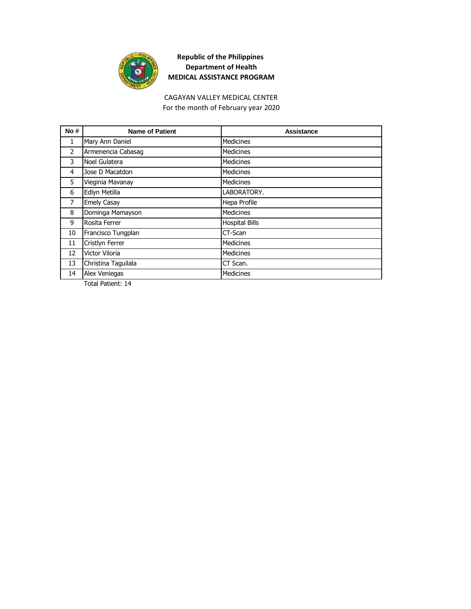

#### CAGAYAN VALLEY MEDICAL CENTER For the month of February year 2020

| <b>Name of Patient</b> | Assistance            |
|------------------------|-----------------------|
|                        | <b>Medicines</b>      |
| Armenencia Cabasag     | Medicines             |
| Noel Gulatera          | <b>Medicines</b>      |
| Jose D Macatdon        | <b>Medicines</b>      |
| Vieginia Mavanay       | <b>Medicines</b>      |
| Edlyn Metilla          | LABORATORY.           |
| <b>Emely Casay</b>     | Hepa Profile          |
| Dominga Mamayson       | Medicines             |
| Rosita Ferrer          | <b>Hospital Bills</b> |
| Francisco Tungplan     | CT-Scan               |
| Cristlyn Ferrer        | <b>Medicines</b>      |
| Victor Viloria         | <b>Medicines</b>      |
| Christina Taguilala    | CT Scan.              |
| Alex Veniegas          | <b>Medicines</b>      |
|                        | Mary Ann Daniel       |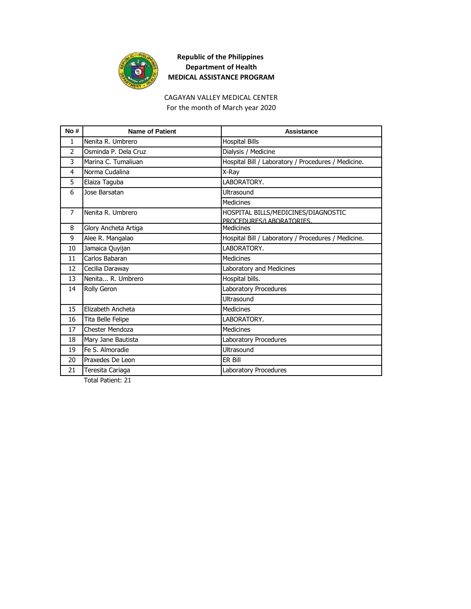

CAGAYAN VALLEY MEDICAL CENTER For the month of March year 2020

| No#            | <b>Name of Patient</b> | Assistance                                                      |
|----------------|------------------------|-----------------------------------------------------------------|
| $\mathbf{1}$   | Nenita R. Umbrero      | <b>Hospital Bills</b>                                           |
| $\overline{2}$ | Osminda P. Dela Cruz   | Dialysis / Medicine                                             |
| 3              | Marina C. Tumaliuan    | Hospital Bill / Laboratory / Procedures / Medicine.             |
| 4              | Norma Cudalina         | X-Ray                                                           |
| 5              | Elaiza Taguba          | LABORATORY.                                                     |
| 6              | Jose Barsatan          | Ultrasound                                                      |
|                |                        | <b>Medicines</b>                                                |
| $\overline{7}$ | Nenita R. Umbrero      | HOSPITAL BILLS/MEDICINES/DIAGNOSTIC<br>PROCEDURES/LABORATORIES. |
| 8              | Glory Ancheta Artiga   | <b>Medicines</b>                                                |
| 9              | Alee R. Mangalao       | Hospital Bill / Laboratory / Procedures / Medicine.             |
| 10             | Jamaica Quyijan        | LABORATORY.                                                     |
| 11             | Carlos Babaran         | <b>Medicines</b>                                                |
| 12             | Cecilia Daraway        | Laboratory and Medicines                                        |
| 13             | Nenita R. Umbrero      | Hospital bills.                                                 |
| 14             | Rolly Geron            | Laboratory Procedures                                           |
|                |                        | Ultrasound                                                      |
| 15             | Elizabeth Ancheta      | <b>Medicines</b>                                                |
| 16             | Tita Belle Felipe      | LABORATORY.                                                     |
| 17             | Chester Mendoza        | <b>Medicines</b>                                                |
| 18             | Mary Jane Bautista     | Laboratory Procedures                                           |
| 19             | Fe S. Almoradie        | Ultrasound                                                      |
| 20             | Praxedes De Leon       | ER Bill                                                         |
| 21             | Teresita Cariaga       | <b>Laboratory Procedures</b>                                    |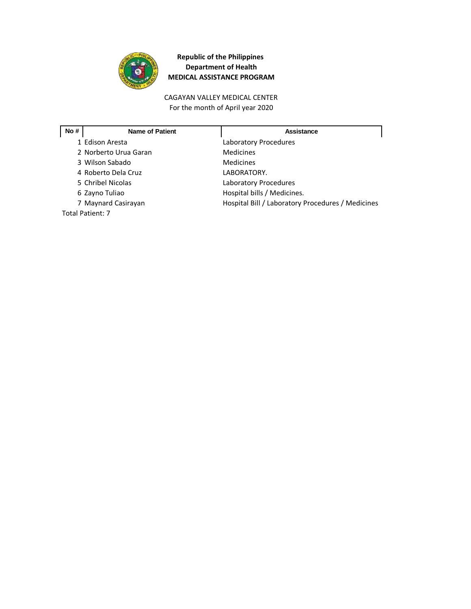

CAGAYAN VALLEY MEDICAL CENTER For the month of April year 2020

| No# | <b>Name of Patient</b> | <b>Assistance</b>                                 |
|-----|------------------------|---------------------------------------------------|
|     | 1 Edison Aresta        | Laboratory Procedures                             |
|     | 2 Norberto Urua Garan  | Medicines                                         |
|     | 3 Wilson Sabado        | Medicines                                         |
|     | 4 Roberto Dela Cruz    | LABORATORY.                                       |
|     | 5 Chribel Nicolas      | Laboratory Procedures                             |
|     | 6 Zayno Tuliao         | Hospital bills / Medicines.                       |
|     | 7 Maynard Casirayan    | Hospital Bill / Laboratory Procedures / Medicines |
|     | Total Patient: 7       |                                                   |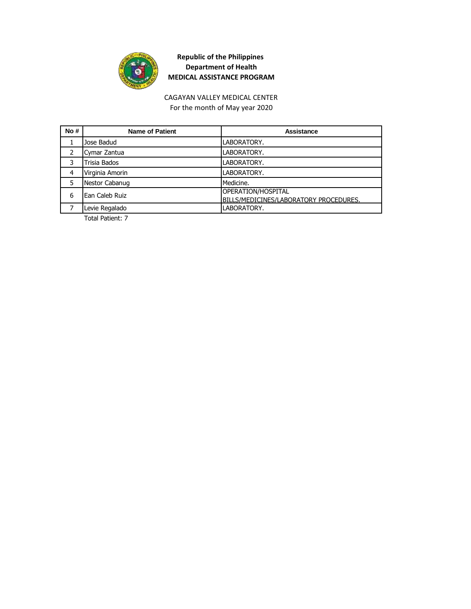

#### For the month of May year 2020 CAGAYAN VALLEY MEDICAL CENTER

| No# | <b>Name of Patient</b> | Assistance                                                   |
|-----|------------------------|--------------------------------------------------------------|
|     | Jose Badud             | LABORATORY.                                                  |
|     | Cymar Zantua           | LABORATORY.                                                  |
| 3   | Trisia Bados           | LABORATORY.                                                  |
| 4   | Virginia Amorin        | LABORATORY.                                                  |
|     | Nestor Cabanug         | Medicine.                                                    |
| 6   | Ean Caleb Ruiz         | OPERATION/HOSPITAL<br>BILLS/MEDICINES/LABORATORY PROCEDURES. |
|     | Levie Regalado         | LABORATORY.                                                  |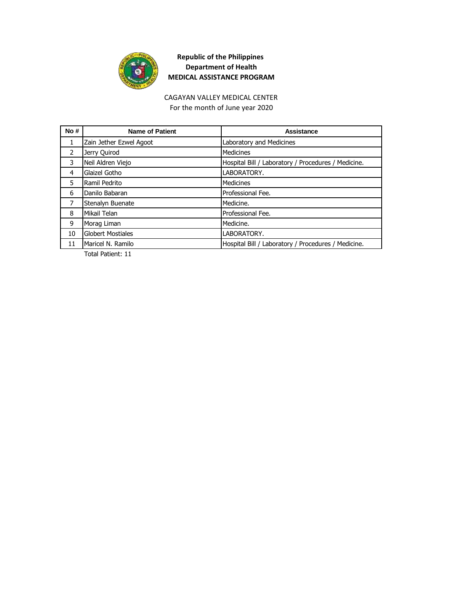

CAGAYAN VALLEY MEDICAL CENTER For the month of June year 2020

| No#            | <b>Name of Patient</b>  | Assistance                                          |
|----------------|-------------------------|-----------------------------------------------------|
| 1              | Zain Jether Ezwel Agoot | Laboratory and Medicines                            |
| $\overline{2}$ | Jerry Quirod            | <b>Medicines</b>                                    |
| 3              | Neil Aldren Viejo       | Hospital Bill / Laboratory / Procedures / Medicine. |
| 4              | Glaizel Gotho           | LABORATORY.                                         |
| 5              | Ramil Pedrito           | <b>Medicines</b>                                    |
| 6              | Danilo Babaran          | Professional Fee.                                   |
| 7              | Stenalyn Buenate        | Medicine.                                           |
| 8              | Mikail Telan            | Professional Fee.                                   |
| 9              | Morag Liman             | Medicine.                                           |
| 10             | Globert Mostiales       | LABORATORY.                                         |
| 11             | Maricel N. Ramilo       | Hospital Bill / Laboratory / Procedures / Medicine. |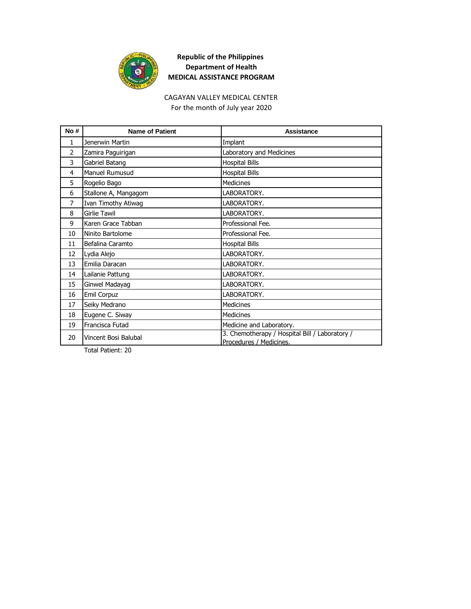

# CAGAYAN VALLEY MEDICAL CENTER

For the month of July year 2020

| No#            | <b>Name of Patient</b> | Assistance                                                                |
|----------------|------------------------|---------------------------------------------------------------------------|
| 1              | Jenerwin Martin        | Implant                                                                   |
| $\overline{2}$ | Zamira Paguirigan      | Laboratory and Medicines                                                  |
| 3              | Gabriel Batang         | <b>Hospital Bills</b>                                                     |
| 4              | Manuel Rumusud         | <b>Hospital Bills</b>                                                     |
| 5              | Rogelio Bago           | <b>Medicines</b>                                                          |
| 6              | Stallone A, Mangagom   | LABORATORY.                                                               |
| 7              | Ivan Timothy Atiwag    | LABORATORY.                                                               |
| 8              | <b>Girlie Tawil</b>    | LABORATORY.                                                               |
| 9              | Karen Grace Tabban     | Professional Fee.                                                         |
| 10             | Ninito Bartolome       | Professional Fee.                                                         |
| 11             | Befalina Caramto       | <b>Hospital Bills</b>                                                     |
| 12             | Lydia Alejo            | LABORATORY.                                                               |
| 13             | Emilia Daracan         | LABORATORY.                                                               |
| 14             | Lailanie Pattung       | LABORATORY.                                                               |
| 15             | Ginwel Madayag         | LABORATORY.                                                               |
| 16             | Emil Corpuz            | LABORATORY.                                                               |
| 17             | Seiky Medrano          | <b>Medicines</b>                                                          |
| 18             | Eugene C. Siway        | <b>Medicines</b>                                                          |
| 19             | Francisca Futad        | Medicine and Laboratory.                                                  |
| 20             | Vincent Bosi Balubal   | 3. Chemotherapy / Hospital Bill / Laboratory /<br>Procedures / Medicines. |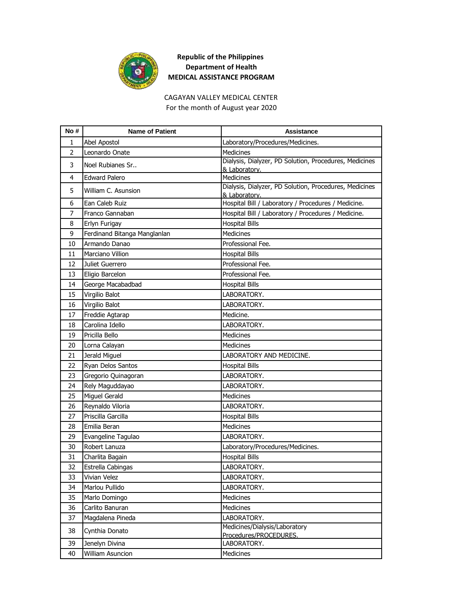

CAGAYAN VALLEY MEDICAL CENTER For the month of August year 2020

| No#            | <b>Name of Patient</b>       | <b>Assistance</b>                                                       |
|----------------|------------------------------|-------------------------------------------------------------------------|
| 1              | Abel Apostol                 | Laboratory/Procedures/Medicines.                                        |
| $\overline{2}$ | Leonardo Onate               | Medicines                                                               |
| 3              | Noel Rubianes Sr             | Dialysis, Dialyzer, PD Solution, Procedures, Medicines<br>& Laboratory. |
| 4              | <b>Edward Palero</b>         | <b>Medicines</b>                                                        |
| 5              | William C. Asunsion          | Dialysis, Dialyzer, PD Solution, Procedures, Medicines                  |
| 6              | Ean Caleb Ruiz               | & Laboratory.<br>Hospital Bill / Laboratory / Procedures / Medicine.    |
| $\overline{7}$ | Franco Gannaban              | Hospital Bill / Laboratory / Procedures / Medicine.                     |
| 8              | Erlyn Furigay                | <b>Hospital Bills</b>                                                   |
| 9              | Ferdinand Bitanga Manglanlan | Medicines                                                               |
| 10             | Armando Danao                | Professional Fee.                                                       |
| 11             | Marciano Villion             |                                                                         |
| 12             | Juliet Guerrero              | <b>Hospital Bills</b><br>Professional Fee.                              |
|                |                              |                                                                         |
| 13             | Eligio Barcelon              | Professional Fee.                                                       |
| 14             | George Macabadbad            | <b>Hospital Bills</b>                                                   |
| 15             | Virgilio Balot               | LABORATORY.                                                             |
| 16             | Virgilio Balot               | LABORATORY.                                                             |
| 17             | Freddie Agtarap              | Medicine.                                                               |
| 18             | Carolina Idello              | LABORATORY.                                                             |
| 19             | Pricilla Bello               | <b>Medicines</b>                                                        |
| 20             | Lorna Calayan                | <b>Medicines</b>                                                        |
| 21             | Jerald Miguel                | LABORATORY AND MEDICINE.                                                |
| 22             | Ryan Delos Santos            | <b>Hospital Bills</b>                                                   |
| 23             | Gregorio Quinagoran          | LABORATORY.                                                             |
| 24             | Rely Maguddayao              | LABORATORY.                                                             |
| 25             | Miguel Gerald                | <b>Medicines</b>                                                        |
| 26             | Reynaldo Viloria             | LABORATORY.                                                             |
| 27             | Priscilla Garcilla           | <b>Hospital Bills</b>                                                   |
| 28             | Emilia Beran                 | <b>Medicines</b>                                                        |
| 29             | Evangeline Tagulao           | LABORATORY.                                                             |
| 30             | Robert Lanuza                | Laboratory/Procedures/Medicines.                                        |
| 31             | Charlita Bagain              | <b>Hospital Bills</b>                                                   |
| 32             | <b>Estrella Cabingas</b>     | LABORATORY.                                                             |
| 33             | Vivian Velez                 | LABORATORY.                                                             |
| 34             | Marlou Pullido               | LABORATORY.                                                             |
| 35             | Marlo Domingo                | Medicines                                                               |
| 36             | Carlito Banuran              | Medicines                                                               |
| 37             | Magdalena Pineda             | LABORATORY.                                                             |
| 38             | Cynthia Donato               | Medicines/Dialysis/Laboratory<br>Procedures/PROCEDURES.                 |
| 39             | Jenelyn Divina               | LABORATORY.                                                             |
| 40             | <b>William Asuncion</b>      | Medicines                                                               |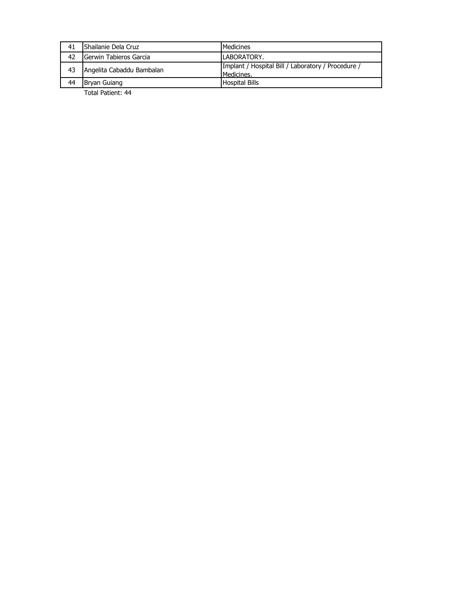| 41 | <b>I</b> Shailanie Dela Cruz    | Medicines                                                        |
|----|---------------------------------|------------------------------------------------------------------|
| 42 | <b>I</b> Gerwin Tabieros Garcia | LABORATORY.                                                      |
| 43 | Angelita Cabaddu Bambalan       | Implant / Hospital Bill / Laboratory / Procedure /<br>Medicines. |
| 44 | Bryan Guiang                    | <b>Hospital Bills</b>                                            |
|    | Total Patient: 44               |                                                                  |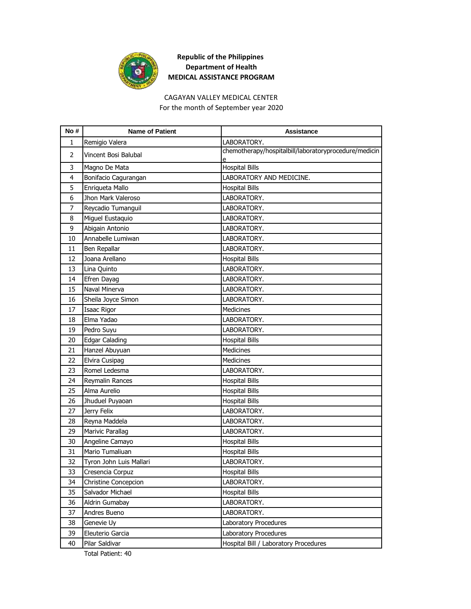

#### CAGAYAN VALLEY MEDICAL CENTER For the month of September year 2020

| No #           | <b>Name of Patient</b>  | <b>Assistance</b>                                     |
|----------------|-------------------------|-------------------------------------------------------|
| 1              | Remigio Valera          | LABORATORY.                                           |
| $\overline{2}$ | Vincent Bosi Balubal    | chemotherapy/hospitalbill/laboratoryprocedure/medicin |
| 3              | Magno De Mata           | <b>Hospital Bills</b>                                 |
| 4              | Bonifacio Cagurangan    | LABORATORY AND MEDICINE.                              |
| 5              | Enriqueta Mallo         | <b>Hospital Bills</b>                                 |
| 6              | Jhon Mark Valeroso      | LABORATORY.                                           |
| 7              | Reycadio Tumanguil      | LABORATORY.                                           |
| 8              | Miguel Eustaquio        | LABORATORY.                                           |
| 9              | Abigain Antonio         | LABORATORY.                                           |
| 10             | Annabelle Lumiwan       | LABORATORY.                                           |
| 11             | Ben Repallar            | LABORATORY.                                           |
| 12             | Joana Arellano          | <b>Hospital Bills</b>                                 |
| 13             | Lina Quinto             | LABORATORY.                                           |
| 14             | Efren Dayag             | LABORATORY.                                           |
| 15             | Naval Minerva           | LABORATORY.                                           |
| 16             | Sheila Joyce Simon      | LABORATORY.                                           |
| 17             | Isaac Rigor             | Medicines                                             |
| 18             | Elma Yadao              | LABORATORY.                                           |
| 19             | Pedro Suyu              | LABORATORY.                                           |
| 20             | <b>Edgar Calading</b>   | <b>Hospital Bills</b>                                 |
| 21             | Hanzel Abuyuan          | <b>Medicines</b>                                      |
| 22             | Elvira Cusipag          | Medicines                                             |
| 23             | Romel Ledesma           | LABORATORY.                                           |
| 24             | Reymalin Rances         | <b>Hospital Bills</b>                                 |
| 25             | Alma Aurelio            | <b>Hospital Bills</b>                                 |
| 26             | Jhuduel Puyaoan         | <b>Hospital Bills</b>                                 |
| 27             | Jerry Felix             | LABORATORY.                                           |
| 28             | Reyna Maddela           | LABORATORY.                                           |
| 29             | Marivic Parallag        | LABORATORY.                                           |
| 30             | Angeline Camayo         | <b>Hospital Bills</b>                                 |
| 31             | Mario Tumaliuan         | <b>Hospital Bills</b>                                 |
| 32             | Tyron John Luis Mallari | LABORATORY.                                           |
| 33             | Cresencia Corpuz        | <b>Hospital Bills</b>                                 |
| 34             | Christine Concepcion    | LABORATORY.                                           |
| 35             | Salvador Michael        | <b>Hospital Bills</b>                                 |
| 36             | Aldrin Gumabay          | LABORATORY.                                           |
| 37             | Andres Bueno            | LABORATORY.                                           |
| 38             | Genevie Uy              | Laboratory Procedures                                 |
| 39             | Eleuterio Garcia        | Laboratory Procedures                                 |
| 40             | Pilar Saldivar          | Hospital Bill / Laboratory Procedures                 |